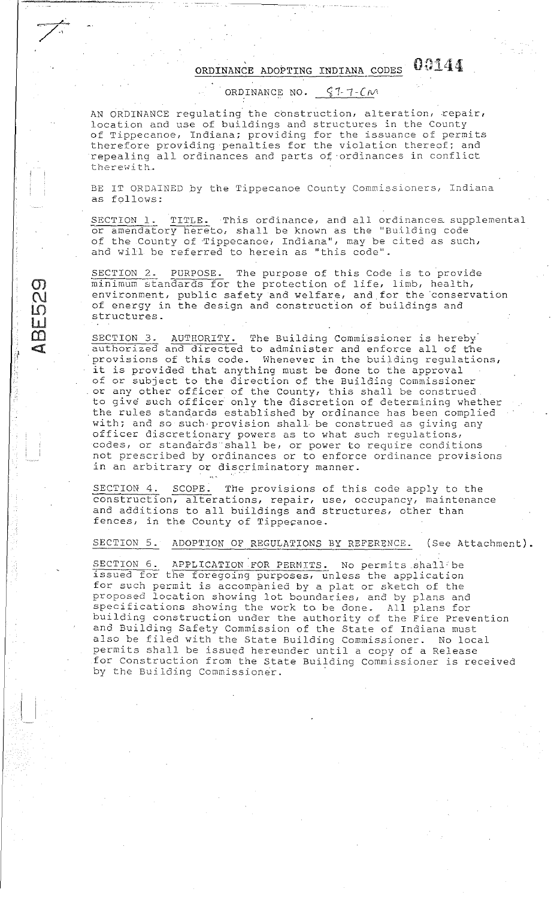## ORDINANCE ADOPTING INDIANA CODES  $0.144$

ORDINANCE NO.  $$1-7-CM$ 

AN ORDINANCE regulating the construction, alteration, repair, location and use of buildings and structures in the County of Tippecanoe, Indiana; providing for the issuance of permits therefore providing penalties for the violation thereof; and repealing all ordinances and parts of ·ordinances in conflict therewith.

BE IT ORDAINED by the Tippecanoe County Commissioners, Indiana as follows:

SECTION 1. TITLE. This ordinance, and all ordinances supplemental or amendatory hereto, shall be known as the "Building code" of the County of Tippecanoe, Indiana", may be cited as such, ahd will be referred to herein as ''this code''.

SECTION 2. PURPOSE. The purpose of this Code is to provide minimum standards for the protection of life, limb, health, environment, public safety and welfare, and for the conservation of energy in the design and construction of buildings and structures.

SECTION 3. AUTHORITY. The Building Commissioner is hereby. authorized and directed to administer and enforce all of the provisions of this code. Whenever in the building regulations, it is provided that anything must be done to the approval of or subject to the direction of the Building Commissioner or any other officer of the County, this shall be construed to give such officer only the discretion of determining whether the rules standards established by ordinance has been complied and these beamdards established by crainance has been complied officer discretionary powers as to what such regulations, codes, or standards shall be, or power to require conditions not prescribed by ordinances or to enforce ordinance provisions in an arbitrary or discriminatory manner.

 $\mathbf{r}$ 

 $\sigma$  $\overline{\mathcal{C}}$  $\Omega$ LL.  $\Box$  $\epsilon$  )

--------·-------·---,..-

~  $\sum_{i=1}^n$ 

> SECTION 4. SCOPE. The provisions of this code apply to the construction, alterations, repair, use, occupancy, maintenance and additions to all buildings and structures, other than fences, in the County of Tippecanoe.

SECTION 5. ADOPTION OF REGULATIONS BY REFERENCE. (See Attachment).

SECTION 6. APPLICATION FOR PERMITS. No permits shall be issued for the foregoing purposes, unless the application for such permit is accompanied by a plat or sketch of the proposed location showing lot boundaries, and by plans and specifications showing the work to be done. All plens for building construction under the authority of the Fire Prevention and Building Safety Commission of the State of Indiana must also be filed with the State Building Commissioner. No local permits shall be issued hereunder until a copy of a Release for Construction from the State Building Commissioner is received by the Building Commissioner.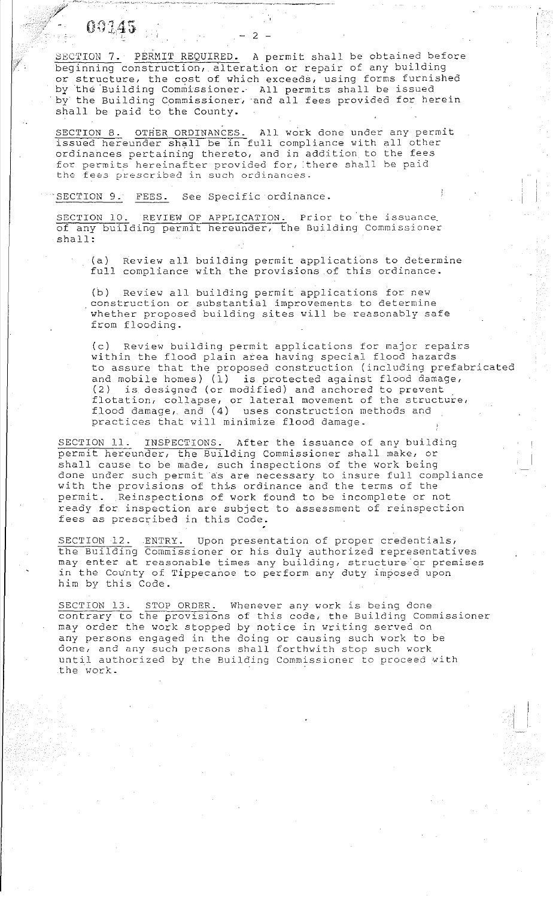$0.145$  ...  $-2$  -

SECTION 7. PERMIT REQUIRED. A permit shall be obtained before beginning construction, alteration or repair of any building or structure, the cost of which exceeds, using forms furnished by the Building Commissioner. All permits shall be issued by the Building Commissioner, and all fees provided for herein shall be paid to the County.

SECTION 8. OTHER ORDINANCES. All work done under any permit issued hereunder shall be in full compliance with all other ordinances pertaining thereto, and in addition to the fees for permits hereinafter provided for, there shall be paid the fees prescribed in such ordinances.

'SECTION 9. FEES. See Specific ordinance.

SECTION 10. REVIEW OF APPLICATION. Prior to the issuance of any building permit hereunder, the Building Commissioner shall:

(a) full compliance with the provisions of this ordinance. Review all building permit applications to determine

(b) Review all building permit applications for new construction or substantial improvements to determine whether proposed building sites will be reasonably safe from flooding.

(c) Review building permit applications for major repairs within the flood plain area having special flood hazards to assure that the proposed construction (including prefabricated and mobile homes)  $(1)$  is protected against flood damage,<br>(2) is designed (or modified) and anchored to prevent is designed (or modified) and anchored to prevent flotation, collapse, or lateral movement of the structure, flood damage, and (4) uses construction methods and practices that will minimize flood damage.

SECTION 11. INSPECTIONS. After the issuance of any building permit hereunder, the Building Commissioner shall make, or shall cause to be made, such inspections of the work being done under such permit as are necessary to insure full compliance with the provisions of this ordinance and the terms of the permit. Reinspections of work found to be incomplete or not ready for inspection are subject to assessment of reinspection fees as prescribed in this Code.

SECTION 12. ENTRY. Upon presentation of proper credentials, the Building Commissioner or his duly authorized representatives may enter at reasonable times any building, structure or premises in the County of Tippecanoe to perform any duty imposed upon in the county of fippecanoe to perform any duty imp<br>him by this Code.

SECTION 13. STOP ORDER. Whenever any work is being done contrary to the provisions of this code, the Building Commissioner may order the work stopped by notice in writing served on any persons engaged in the doing or causing such work to be any persons engaged in the doing of sudbing buch work to . until authorized by the Building Commissioner to proceed with the work.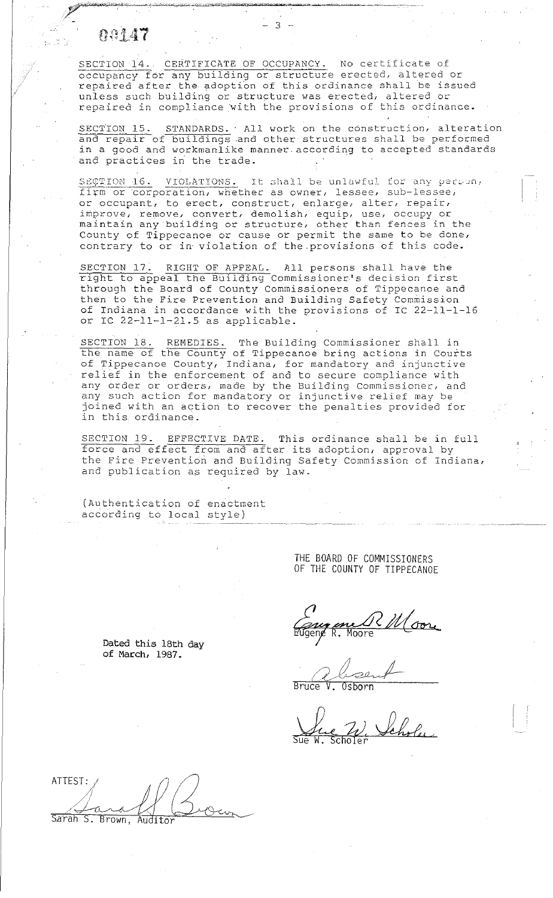## $0.147$

~;,.~·~,;\_,,,~·""""""-·,,-:-,'""""'.f"""':.<...0<.u•~"'-""":"""'"-'uli;'-"'"''''r"'~~~.-..,-

SECTION 14- CERTIFICATE OF OCCUPANCY. No certificate of occupancy for any building or structure erected, altered or repaired after the adoption of this ordinance shall be issued unless such building or structure was erected, altered or repaired in compliance with the provisions of this ordinance.

SECTION 15. STANDARDS. All work on the construction, alteration and repair of buildings and other structures shall be performed in a good and workmanlike manner according to accepted standards and practices in the trade.

SECTION 16. VIOLATIONS. It shall be unlawful for any person, firm or corporation, whether as owner, lessee, sub-lessee, or occupant, to erect, construct, enlarge, alter, repair, improve, remove, convert, demolish, equip, use, occupy or amplove, femove, convert, demorrant equip, doe, occupy of County of Tippecanoe or cause or permit the same to be done, contrary to or in violation of the provisions of this code.

SECTION 17. RIGHT OF APPEAL. All persons shall have the SECIION 17. KIGHI OF APPEAU. All persons shall have the<br>right to appeal the Building Commissioner's decision first through the Board of County Commissioners of Tippecanoe and Interior the Fire Prevention and Building Safety Commission of Indiana in accordance with the provisions of IC 22-11-1-16 or IC 22-11-1-21.5 as applicable.

SECTION 18. REMEDIES. The Building Commissioner shall in the name of the County of Tippecanoe bring actions in Courts of Tippecanoe County, Indiana, for mandatory and injunctive relief in the enforcement of and to secure compliance with any order or orders, made by the Building Commissioner, and any stuct of orders, made by the building commissioner, and joined with an action to recover the penalties provided for in this. ordinance.

SECTION 19. EFFECTIVE DATE. This ordinance shall be in full force and effect from and after its adoption, approval by the Fire Prevention and Building Safety Commission of Indiana, and publication as required by law.

(Authentication of enactment according to local style)

> THE BOARD OF COMMISSIONERS OF THE COUNTY OF TIPPECANOE

Come ene CDC COM.<br>Eugene R. Moore

 $\ell$ , least BruceV. Osborn

Sue W. Leholey

Dated this 18th day of March, 1987.

ATTEST: / */;· ///*   $\sqrt{1-\alpha}$ 

Sarah S. Brown,